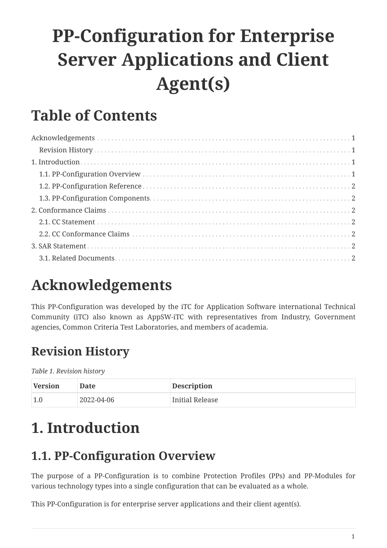# **PP-Configuration for Enterprise Server Applications and Client Agent(s)**

### **Table of Contents**

## <span id="page-0-0"></span>**Acknowledgements**

This PP-Configuration was developed by the iTC for Application Software international Technical Community (iTC) also known as AppSW-iTC with representatives from Industry, Government agencies, Common Criteria Test Laboratories, and members of academia.

### <span id="page-0-1"></span>**Revision History**

*Table 1. Revision history*

| Version | Date       | <b>Description</b> |
|---------|------------|--------------------|
| 1.0     | 2022-04-06 | Initial Release    |

### <span id="page-0-2"></span>**1. Introduction**

### <span id="page-0-3"></span>**1.1. PP-Configuration Overview**

The purpose of a PP-Configuration is to combine Protection Profiles (PPs) and PP-Modules for various technology types into a single configuration that can be evaluated as a whole.

This PP-Configuration is for enterprise server applications and their client agent(s).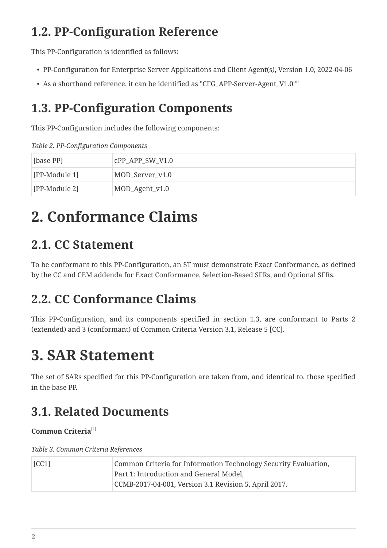### <span id="page-1-0"></span>**1.2. PP-Configuration Reference**

This PP-Configuration is identified as follows:

- PP-Configuration for Enterprise Server Applications and Client Agent(s), Version 1.0, 2022-04-06
- As a shorthand reference, it can be identified as "CFG\_APP-Server-Agent\_V1.0""

#### <span id="page-1-1"></span>**1.3. PP-Configuration Components**

This PP-Configuration includes the following components:

*Table 2. PP-Configuration Components*

| [base PP]     | $CPP_APP_SW_V1.0$ |
|---------------|-------------------|
| [PP-Module 1] | MOD_Server_v1.0   |
| [PP-Module 2] | MOD_Agent_v1.0    |

## <span id="page-1-2"></span>**2. Conformance Claims**

#### <span id="page-1-3"></span>**2.1. CC Statement**

To be conformant to this PP-Configuration, an ST must demonstrate Exact Conformance, as defined by the CC and CEM addenda for Exact Conformance, Selection-Based SFRs, and Optional SFRs.

#### <span id="page-1-4"></span>**2.2. CC Conformance Claims**

This PP-Configuration, and its components specified in section 1.3, are conformant to Parts 2 (extended) and 3 (conformant) of Common Criteria Version 3.1, Release 5 [CC].

## <span id="page-1-5"></span>**3. SAR Statement**

The set of SARs specified for this PP-Configuration are taken from, and identical to, those specified in the base PP.

#### <span id="page-1-6"></span>**3.1. Related Documents**

#### <span id="page-1-7"></span>**Common Criteria**[[1\]](#page-2-0)

*Table 3. Common Criteria References*

| [CC1] | Common Criteria for Information Technology Security Evaluation, |
|-------|-----------------------------------------------------------------|
|       | Part 1: Introduction and General Model,                         |
|       | CCMB-2017-04-001, Version 3.1 Revision 5, April 2017.           |